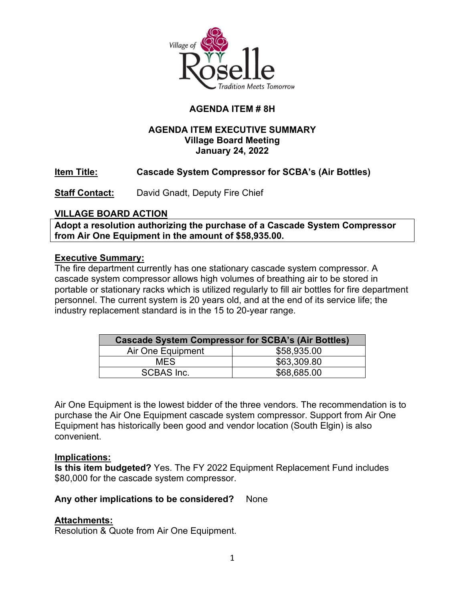

## **AGENDA ITEM # 8H**

## **AGENDA ITEM EXECUTIVE SUMMARY Village Board Meeting January 24, 2022**

## **Item Title: Cascade System Compressor for SCBA's (Air Bottles)**

**Staff Contact:** David Gnadt, Deputy Fire Chief

### **VILLAGE BOARD ACTION**

**Adopt a resolution authorizing the purchase of a Cascade System Compressor from Air One Equipment in the amount of \$58,935.00.**

#### **Executive Summary:**

The fire department currently has one stationary cascade system compressor. A cascade system compressor allows high volumes of breathing air to be stored in portable or stationary racks which is utilized regularly to fill air bottles for fire department personnel. The current system is 20 years old, and at the end of its service life; the industry replacement standard is in the 15 to 20-year range.

| <b>Cascade System Compressor for SCBA's (Air Bottles)</b> |             |  |  |
|-----------------------------------------------------------|-------------|--|--|
| Air One Equipment                                         | \$58,935.00 |  |  |
| MFS.                                                      | \$63,309.80 |  |  |
| <b>SCBAS Inc.</b>                                         | \$68,685.00 |  |  |

Air One Equipment is the lowest bidder of the three vendors. The recommendation is to purchase the Air One Equipment cascade system compressor. Support from Air One Equipment has historically been good and vendor location (South Elgin) is also convenient.

#### **Implications:**

**Is this item budgeted?** Yes. The FY 2022 Equipment Replacement Fund includes \$80,000 for the cascade system compressor.

### **Any other implications to be considered?** None

### **Attachments:**

Resolution & Quote from Air One Equipment.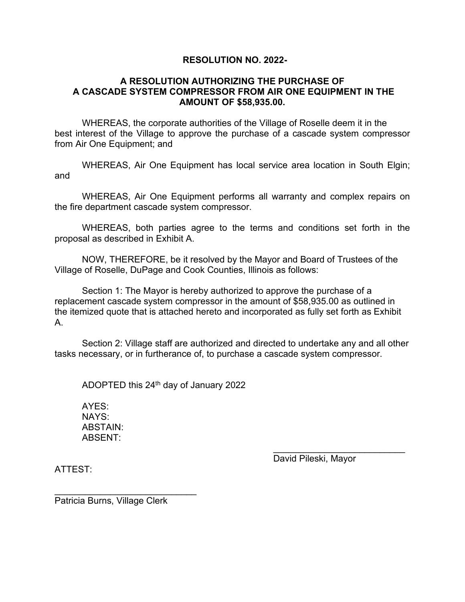#### **RESOLUTION NO. 2022-**

#### **A RESOLUTION AUTHORIZING THE PURCHASE OF A CASCADE SYSTEM COMPRESSOR FROM AIR ONE EQUIPMENT IN THE AMOUNT OF \$58,935.00.**

WHEREAS, the corporate authorities of the Village of Roselle deem it in the best interest of the Village to approve the purchase of a cascade system compressor from Air One Equipment; and

WHEREAS, Air One Equipment has local service area location in South Elgin; and

WHEREAS, Air One Equipment performs all warranty and complex repairs on the fire department cascade system compressor.

WHEREAS, both parties agree to the terms and conditions set forth in the proposal as described in Exhibit A.

NOW, THEREFORE, be it resolved by the Mayor and Board of Trustees of the Village of Roselle, DuPage and Cook Counties, Illinois as follows:

Section 1: The Mayor is hereby authorized to approve the purchase of a replacement cascade system compressor in the amount of \$58,935.00 as outlined in the itemized quote that is attached hereto and incorporated as fully set forth as Exhibit A.

Section 2: Village staff are authorized and directed to undertake any and all other tasks necessary, or in furtherance of, to purchase a cascade system compressor.

ADOPTED this 24th day of January 2022

AYES: NAYS: ABSTAIN: ABSENT:

> \_\_\_\_\_\_\_\_\_\_\_\_\_\_\_\_\_\_\_\_\_\_\_\_\_\_ David Pileski, Mayor

ATTEST:

Patricia Burns, Village Clerk

\_\_\_\_\_\_\_\_\_\_\_\_\_\_\_\_\_\_\_\_\_\_\_\_\_\_\_\_